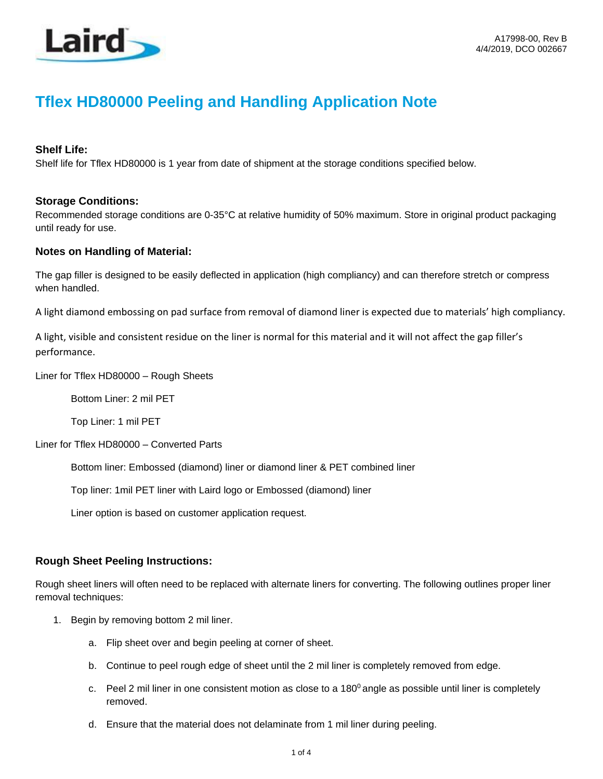

# **Tflex HD80000 Peeling and Handling Application Note**

### **Shelf Life:**

Shelf life for Tflex HD80000 is 1 year from date of shipment at the storage conditions specified below.

#### **Storage Conditions:**

Recommended storage conditions are 0-35°C at relative humidity of 50% maximum. Store in original product packaging until ready for use.

#### **Notes on Handling of Material:**

The gap filler is designed to be easily deflected in application (high compliancy) and can therefore stretch or compress when handled.

A light diamond embossing on pad surface from removal of diamond liner is expected due to materials' high compliancy.

A light, visible and consistent residue on the liner is normal for this material and it will not affect the gap filler's performance.

Liner for Tflex HD80000 – Rough Sheets

Bottom Liner: 2 mil PET

Top Liner: 1 mil PET

Liner for Tflex HD80000 – Converted Parts

Bottom liner: Embossed (diamond) liner or diamond liner & PET combined liner

Top liner: 1mil PET liner with Laird logo or Embossed (diamond) liner

Liner option is based on customer application request.

## **Rough Sheet Peeling Instructions:**

Rough sheet liners will often need to be replaced with alternate liners for converting. The following outlines proper liner removal techniques:

- 1. Begin by removing bottom 2 mil liner.
	- a. Flip sheet over and begin peeling at corner of sheet.
	- b. Continue to peel rough edge of sheet until the 2 mil liner is completely removed from edge.
	- c. Peel 2 mil liner in one consistent motion as close to a  $180^{\circ}$  angle as possible until liner is completely removed.
	- d. Ensure that the material does not delaminate from 1 mil liner during peeling.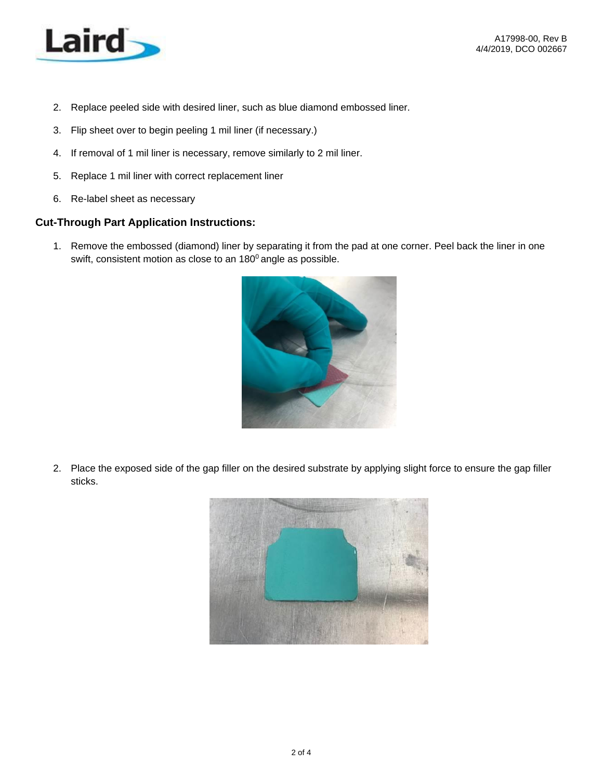

- 2. Replace peeled side with desired liner, such as blue diamond embossed liner.
- 3. Flip sheet over to begin peeling 1 mil liner (if necessary.)
- 4. If removal of 1 mil liner is necessary, remove similarly to 2 mil liner.
- 5. Replace 1 mil liner with correct replacement liner
- 6. Re-label sheet as necessary

#### **Cut-Through Part Application Instructions:**

1. Remove the embossed (diamond) liner by separating it from the pad at one corner. Peel back the liner in one swift, consistent motion as close to an  $180^\circ$  angle as possible.



2. Place the exposed side of the gap filler on the desired substrate by applying slight force to ensure the gap filler sticks.

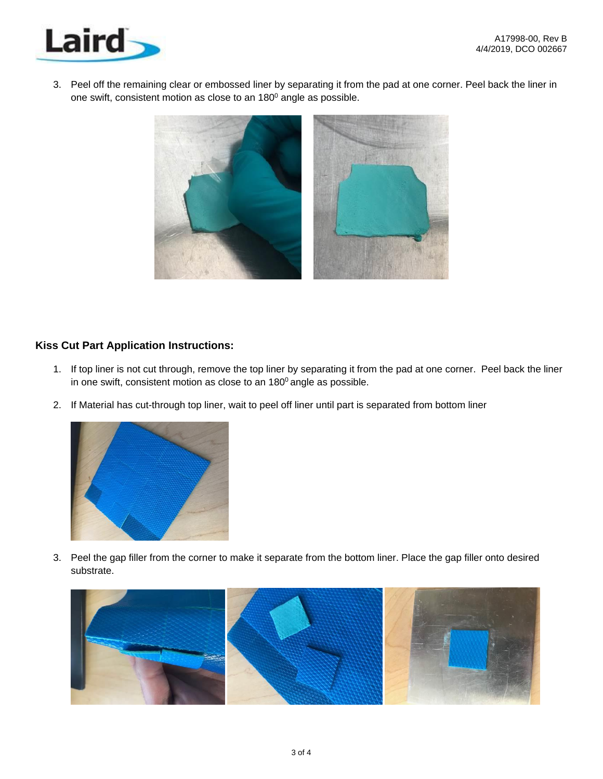

3. Peel off the remaining clear or embossed liner by separating it from the pad at one corner. Peel back the liner in one swift, consistent motion as close to an 180<sup>0</sup> angle as possible.



## **Kiss Cut Part Application Instructions:**

- 1. If top liner is not cut through, remove the top liner by separating it from the pad at one corner. Peel back the liner in one swift, consistent motion as close to an  $180^\circ$  angle as possible.
- 2. If Material has cut-through top liner, wait to peel off liner until part is separated from bottom liner



3. Peel the gap filler from the corner to make it separate from the bottom liner. Place the gap filler onto desired substrate.